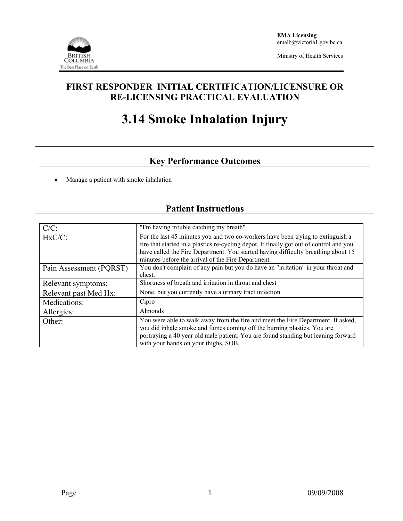

Ministry of Health Services

## **FIRST RESPONDER INITIAL CERTIFICATION/LICENSURE OR RE-LICENSING PRACTICAL EVALUATION**

# **3.14 Smoke Inhalation Injury**

# **Key Performance Outcomes**

• Manage a patient with smoke inhalation

### **Patient Instructions**

| $C/C$ :                 | "I'm having trouble catching my breath"                                                                                                                                                                                                                                                  |  |  |
|-------------------------|------------------------------------------------------------------------------------------------------------------------------------------------------------------------------------------------------------------------------------------------------------------------------------------|--|--|
| $HxC/C$ :               | For the last 45 minutes you and two co-workers have been trying to extinguish a<br>fire that started in a plastics re-cycling depot. It finally got out of control and you                                                                                                               |  |  |
|                         | have called the Fire Department. You started having difficulty breathing about 15<br>minutes before the arrival of the Fire Department.                                                                                                                                                  |  |  |
| Pain Assessment (PQRST) | You don't complain of any pain but you do have an "irritation" in your throat and<br>chest.                                                                                                                                                                                              |  |  |
| Relevant symptoms:      | Shortness of breath and irritation in throat and chest                                                                                                                                                                                                                                   |  |  |
| Relevant past Med Hx:   | None, but you currently have a urinary tract infection                                                                                                                                                                                                                                   |  |  |
| Medications:            | Cipro                                                                                                                                                                                                                                                                                    |  |  |
| Allergies:              | Almonds                                                                                                                                                                                                                                                                                  |  |  |
| Other:                  | You were able to walk away from the fire and meet the Fire Department. If asked,<br>you did inhale smoke and fumes coming off the burning plastics. You are<br>portraying a 40 year old male patient. You are found standing but leaning forward<br>with your hands on your thighs, SOB. |  |  |